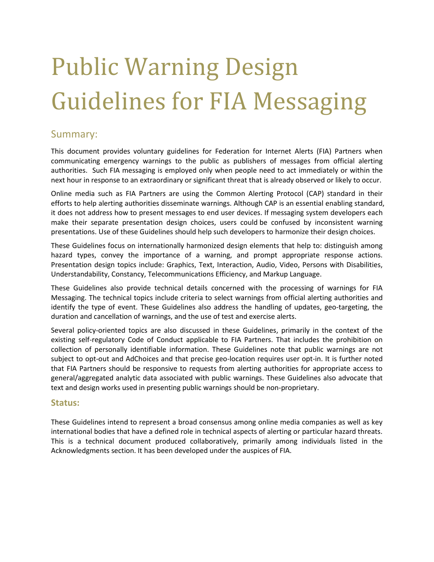#### Summary:

This document provides voluntary guidelines for Federation for Internet Alerts (FIA) Partners when communicating emergency warnings to the public as publishers of messages from official alerting authorities. Such FIA messaging is employed only when people need to act immediately or within the next hour in response to an extraordinary or significant threat that is already observed or likely to occur.

Online media such as FIA Partners are using the Common Alerting Protocol (CAP) standard in their efforts to help alerting authorities disseminate warnings. Although CAP is an essential enabling standard, it does not address how to present messages to end user devices. If messaging system developers each make their separate presentation design choices, users could be confused by inconsistent warning presentations. Use of these Guidelines should help such developers to harmonize their design choices.

These Guidelines focus on internationally harmonized design elements that help to: distinguish among hazard types, convey the importance of a warning, and prompt appropriate response actions. Presentation design topics include: Graphics, Text, Interaction, Audio, Video, Persons with Disabilities, Understandability, Constancy, Telecommunications Efficiency, and Markup Language.

These Guidelines also provide technical details concerned with the processing of warnings for FIA Messaging. The technical topics include criteria to select warnings from official alerting authorities and identify the type of event. These Guidelines also address the handling of updates, geo-targeting, the duration and cancellation of warnings, and the use of test and exercise alerts.

Several policy-oriented topics are also discussed in these Guidelines, primarily in the context of the existing self-regulatory Code of Conduct applicable to FIA Partners. That includes the prohibition on collection of personally identifiable information. These Guidelines note that public warnings are not subject to opt-out and AdChoices and that precise geo-location requires user opt-in. It is further noted that FIA Partners should be responsive to requests from alerting authorities for appropriate access to general/aggregated analytic data associated with public warnings. These Guidelines also advocate that text and design works used in presenting public warnings should be non-proprietary.

#### **Status:**

These Guidelines intend to represent a broad consensus among online media companies as well as key international bodies that have a defined role in technical aspects of alerting or particular hazard threats. This is a technical document produced collaboratively, primarily among individuals listed in the [Acknowledgments](#page-10-0) section. It has been developed under the auspices of FIA.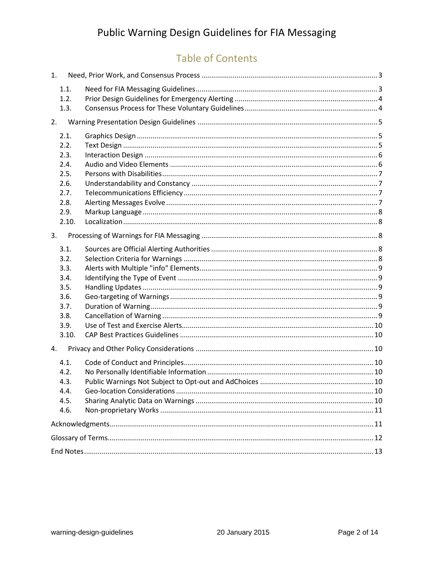# **Table of Contents**

| 1.           |  |
|--------------|--|
| 1.1.         |  |
| 1.2.         |  |
| 1.3.         |  |
| 2.           |  |
| 2.1.         |  |
| 2.2.         |  |
| 2.3.         |  |
| 2.4.         |  |
| 2.5.         |  |
| 2.6.<br>2.7. |  |
| 2.8.         |  |
| 2.9.         |  |
| 2.10.        |  |
|              |  |
| 3.           |  |
| 3.1.         |  |
| 3.2.         |  |
| 3.3.         |  |
| 3.4.         |  |
| 3.5.         |  |
| 3.6.         |  |
| 3.7.         |  |
| 3.8.<br>3.9. |  |
| 3.10.        |  |
| 4.           |  |
| 4.1.         |  |
| 4.2.         |  |
| 4.3.         |  |
| 4.4.         |  |
| 4.5.         |  |
| 4.6.         |  |
|              |  |
|              |  |
|              |  |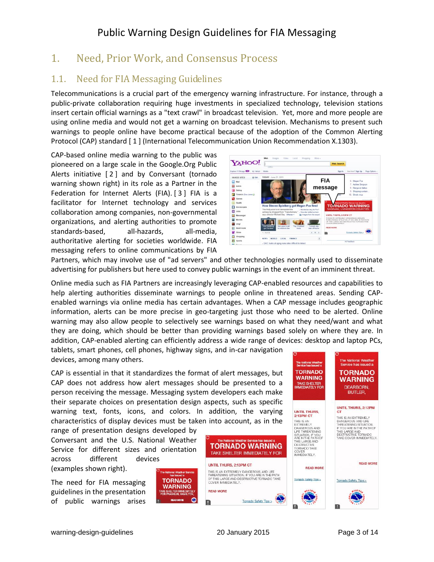## <span id="page-2-0"></span>1. Need, Prior Work, and Consensus Process

## <span id="page-2-1"></span>1.1. Need for FIA Messaging Guidelines

Telecommunications is a crucial part of the emergency warning infrastructure. For instance, through a public-private collaboration requiring huge investments in specialized technology, television stations insert certain official warnings as a "text crawl" in broadcast television. Yet, more and more people are using online media and would not get a warning on broadcast television. Mechanisms to present such warnings to people online have become practical because of the adoption of the Common Alerting Protocol (CAP) standard [ 1 ] (International Telecommunication Union Recommendation X.1303).

CAP-based online media warning to the public was pioneered on a large scale in the Google.Org Public Alerts initiative [ 2 ] and by Conversant (tornado warning shown right) in its role as a Partner in the Federation for Internet Alerts (FIA). [ 3 ] FIA is a facilitator for Internet technology and services collaboration among companies, non-governmental organizations, and alerting authorities to promote standards-based, all-hazards, all-media, authoritative alerting for societies worldwide. FIA messaging refers to online communications by FIA



The National Weather<br>Service has issued a **TORNADO** 

**WARNING** 

TAKE SHELTER

Partners, which may involve use of "ad servers" and other technologies normally used to disseminate advertising for publishers but here used to convey public warnings in the event of an imminent threat.

Online media such as FIA Partners are increasingly leveraging CAP-enabled resources and capabilities to help alerting authorities disseminate warnings to people online in threatened areas. Sending CAPenabled warnings via online media has certain advantages. When a CAP message includes geographic information, alerts can be more precise in geo-targeting just those who need to be alerted. Online warning may also allow people to selectively see warnings based on what they need/want and what they are doing, which should be better than providing warnings based solely on where they are. In addition, CAP-enabled alerting can efficiently address a wide range of devices: desktop and laptop PCs,

tablets, smart phones, cell phones, highway signs, and in-car navigation devices, among many others.

CAP is essential in that it standardizes the format of alert messages, but CAP does not address how alert messages should be presented to a person receiving the message. Messaging system developers each make their separate choices on presentation design aspects, such as specific warning text, fonts, icons, and colors. In addition, the varying characteristics of display devices must be taken into account, as in the

range of presentation designs developed by Conversant and the U.S. National Weather Service for different sizes and orientation across different devices

(examples shown right).

The need for FIA messaging guidelines in the presentation of public warnings arises





The National Weather<br>Service has issued a

**TORNADO** 

**WARNING** 

DEARBORN, **BUTLER.**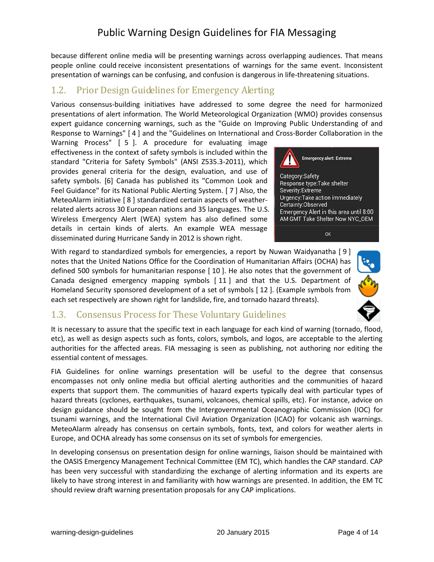because different online media will be presenting warnings across overlapping audiences. That means people online could receive inconsistent presentations of warnings for the same event. Inconsistent presentation of warnings can be confusing, and confusion is dangerous in life-threatening situations.

#### <span id="page-3-0"></span>1.2. Prior Design Guidelines for Emergency Alerting

Various consensus-building initiatives have addressed to some degree the need for harmonized presentations of alert information. The World Meteorological Organization (WMO) provides consensus expert guidance concerning warnings, such as the "Guide on Improving Public Understanding of and Response to Warnings" [ 4 ] and the "Guidelines on International and Cross-Border Collaboration in the

Warning Process" [ 5 ]. A procedure for evaluating image effectiveness in the context of safety symbols is included within the standard "Criteria for Safety Symbols" (ANSI Z535.3-2011), which provides general criteria for the design, evaluation, and use of safety symbols. [6] Canada has published its "Common Look and Feel Guidance" for its National Public Alerting System. [ 7 ] Also, the MeteoAlarm initiative [ 8 ] standardized certain aspects of weatherrelated alerts across 30 European nations and 35 languages. The U.S. Wireless Emergency Alert (WEA) system has also defined some details in certain kinds of alerts. An example WEA message disseminated during Hurricane Sandy in 2012 is shown right.



With regard to standardized symbols for emergencies, a report by Nuwan Waidyanatha [ 9 ] notes that the United Nations Office for the Coordination of Humanitarian Affairs (OCHA) has defined 500 symbols for humanitarian response [ 10 ]. He also notes that the government of Canada designed emergency mapping symbols [ 11 ] and that the U.S. Department of Homeland Security sponsored development of a set of symbols [ 12 ]. (Example symbols from each set respectively are shown right for landslide, fire, and tornado hazard threats).



#### <span id="page-3-1"></span>1.3. Consensus Process for These Voluntary Guidelines

It is necessary to assure that the specific text in each language for each kind of warning (tornado, flood, etc), as well as design aspects such as fonts, colors, symbols, and logos, are acceptable to the alerting authorities for the affected areas. FIA messaging is seen as publishing, not authoring nor editing the essential content of messages.

FIA Guidelines for online warnings presentation will be useful to the degree that consensus encompasses not only online media but official alerting authorities and the communities of hazard experts that support them. The communities of hazard experts typically deal with particular types of hazard threats (cyclones, earthquakes, tsunami, volcanoes, chemical spills, etc). For instance, advice on design guidance should be sought from the Intergovernmental Oceanographic Commission (IOC) for tsunami warnings, and the International Civil Aviation Organization (ICAO) for volcanic ash warnings. MeteoAlarm already has consensus on certain symbols, fonts, text, and colors for weather alerts in Europe, and OCHA already has some consensus on its set of symbols for emergencies.

In developing consensus on presentation design for online warnings, liaison should be maintained with the OASIS Emergency Management Technical Committee (EM TC), which handles the CAP standard. CAP has been very successful with standardizing the exchange of alerting information and its experts are likely to have strong interest in and familiarity with how warnings are presented. In addition, the EM TC should review draft warning presentation proposals for any CAP implications.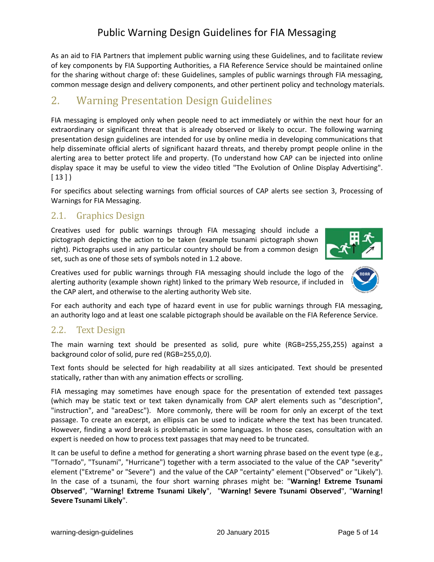#### warning-design-guidelines and the 20 January 2015 Page 5 of 14

## Public Warning Design Guidelines for FIA Messaging

As an aid to FIA Partners that implement public warning using these Guidelines, and to facilitate review of key components by FIA Supporting Authorities, a FIA Reference Service should be maintained online for the sharing without charge of: these Guidelines, samples of public warnings through FIA messaging, common message design and delivery components, and other pertinent policy and technology materials.

# <span id="page-4-0"></span>2. Warning Presentation Design Guidelines

FIA messaging is employed only when people need to act immediately or within the next hour for an extraordinary or significant threat that is already observed or likely to occur. The following warning presentation design guidelines are intended for use by online media in developing communications that help disseminate official alerts of significant hazard threats, and thereby prompt people online in the alerting area to better protect life and property. (To understand how CAP can be injected into online display space it may be useful to view the video titled "The Evolution of Online Display Advertising".  $[13]$ 

For specifics about selecting warnings from official sources of CAP alerts see section 3, Processing of Warnings for FIA Messaging.

## <span id="page-4-1"></span>2.1. Graphics Design

Creatives used for public warnings through FIA messaging should include a pictograph depicting the action to be taken (example tsunami pictograph shown right). Pictographs used in any particular country should be from a common design set, such as one of those sets of symbols noted in 1.2 above.

Creatives used for public warnings through FIA messaging should include the logo of the alerting authority (example shown right) linked to the primary Web resource, if included in the CAP alert, and otherwise to the alerting authority Web site.

For each authority and each type of hazard event in use for public warnings through FIA messaging, an authority logo and at least one scalable pictograph should be available on the FIA Reference Service.

#### <span id="page-4-2"></span>2.2. Text Design

The main warning text should be presented as solid, pure white (RGB=255,255,255) against a background color of solid, pure red (RGB=255,0,0).

Text fonts should be selected for high readability at all sizes anticipated. Text should be presented statically, rather than with any animation effects or scrolling.

FIA messaging may sometimes have enough space for the presentation of extended text passages (which may be static text or text taken dynamically from CAP alert elements such as "description", "instruction", and "areaDesc"). More commonly, there will be room for only an excerpt of the text passage. To create an excerpt, an ellipsis can be used to indicate where the text has been truncated. However, finding a word break is problematic in some languages. In those cases, consultation with an expert is needed on how to process text passages that may need to be truncated.

It can be useful to define a method for generating a short warning phrase based on the event type (e.g., "Tornado", "Tsunami", "Hurricane") together with a term associated to the value of the CAP "severity" element ("Extreme" or "Severe") and the value of the CAP "certainty" element ("Observed" or "Likely"). In the case of a tsunami, the four short warning phrases might be: "**Warning! Extreme Tsunami Observed**", "**Warning! Extreme Tsunami Likely**", "**Warning! Severe Tsunami Observed**", "**Warning! Severe Tsunami Likely**".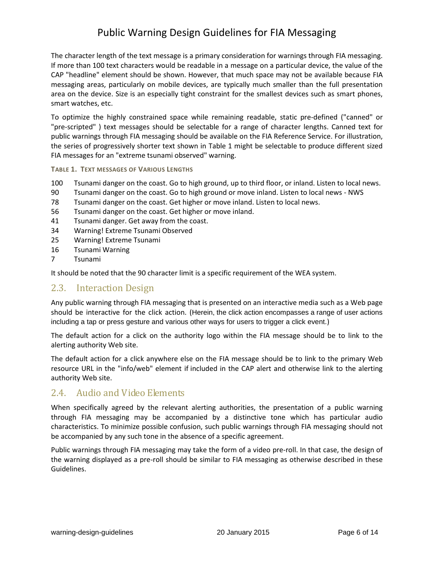The character length of the text message is a primary consideration for warnings through FIA messaging. If more than 100 text characters would be readable in a message on a particular device, the value of the CAP "headline" element should be shown. However, that much space may not be available because FIA messaging areas, particularly on mobile devices, are typically much smaller than the full presentation area on the device. Size is an especially tight constraint for the smallest devices such as smart phones, smart watches, etc.

To optimize the highly constrained space while remaining readable, static pre-defined ("canned" or "pre-scripted" ) text messages should be selectable for a range of character lengths. Canned text for public warnings through FIA messaging should be available on the FIA Reference Service. For illustration, the series of progressively shorter text shown in Table 1 might be selectable to produce different sized FIA messages for an "extreme tsunami observed" warning.

#### **TABLE 1. TEXT MESSAGES OF VARIOUS LENGTHS**

- 100 Tsunami danger on the coast. Go to high ground, up to third floor, or inland. Listen to local news.
- 90 Tsunami danger on the coast. Go to high ground or move inland. Listen to local news NWS
- 78 Tsunami danger on the coast. Get higher or move inland. Listen to local news.
- 56 Tsunami danger on the coast. Get higher or move inland.
- 41 Tsunami danger. Get away from the coast.
- 34 Warning! Extreme Tsunami Observed
- 25 Warning! Extreme Tsunami
- 16 Tsunami Warning
- 7 Tsunami

It should be noted that the 90 character limit is a specific requirement of the WEA system.

#### <span id="page-5-0"></span>2.3. Interaction Design

Any public warning through FIA messaging that is presented on an interactive media such as a Web page should be interactive for the click action. (Herein, the click action encompasses a range of user actions including a tap or press gesture and various other ways for users to trigger a click event.)

The default action for a click on the authority logo within the FIA message should be to link to the alerting authority Web site.

The default action for a click anywhere else on the FIA message should be to link to the primary Web resource URL in the "info/web" element if included in the CAP alert and otherwise link to the alerting authority Web site.

#### <span id="page-5-1"></span>2.4. Audio and Video Elements

When specifically agreed by the relevant alerting authorities, the presentation of a public warning through FIA messaging may be accompanied by a distinctive tone which has particular audio characteristics. To minimize possible confusion, such public warnings through FIA messaging should not be accompanied by any such tone in the absence of a specific agreement.

Public warnings through FIA messaging may take the form of a video pre-roll. In that case, the design of the warning displayed as a pre-roll should be similar to FIA messaging as otherwise described in these Guidelines.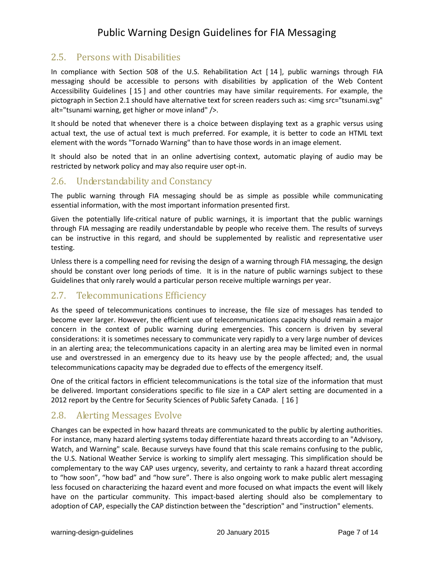#### <span id="page-6-0"></span>2.5. Persons with Disabilities

In compliance with Section 508 of the U.S. Rehabilitation Act [ 14 ], public warnings through FIA messaging should be accessible to persons with disabilities by application of the Web Content Accessibility Guidelines [ 15 ] and other countries may have similar requirements. For example, the pictograph in Section 2.1 should have alternative text for screen readers such as: <img src="tsunami.svg" alt="tsunami warning, get higher or move inland" />.

It should be noted that whenever there is a choice between displaying text as a graphic versus using actual text, the use of actual text is much preferred. For example, it is better to code an HTML text element with the words "Tornado Warning" than to have those words in an image element.

It should also be noted that in an online advertising context, automatic playing of audio may be restricted by network policy and may also require user opt-in.

#### <span id="page-6-1"></span>2.6. Understandability and Constancy

The public warning through FIA messaging should be as simple as possible while communicating essential information, with the most important information presented first.

Given the potentially life-critical nature of public warnings, it is important that the public warnings through FIA messaging are readily understandable by people who receive them. The results of surveys can be instructive in this regard, and should be supplemented by realistic and representative user testing.

Unless there is a compelling need for revising the design of a warning through FIA messaging, the design should be constant over long periods of time. It is in the nature of public warnings subject to these Guidelines that only rarely would a particular person receive multiple warnings per year.

#### <span id="page-6-2"></span>2.7. Telecommunications Efficiency

As the speed of telecommunications continues to increase, the file size of messages has tended to become ever larger. However, the efficient use of telecommunications capacity should remain a major concern in the context of public warning during emergencies. This concern is driven by several considerations: it is sometimes necessary to communicate very rapidly to a very large number of devices in an alerting area; the telecommunications capacity in an alerting area may be limited even in normal use and overstressed in an emergency due to its heavy use by the people affected; and, the usual telecommunications capacity may be degraded due to effects of the emergency itself.

One of the critical factors in efficient telecommunications is the total size of the information that must be delivered. Important considerations specific to file size in a CAP alert setting are documented in a 2012 report by the Centre for Security Sciences of Public Safety Canada. [ 16 ]

#### <span id="page-6-3"></span>2.8. Alerting Messages Evolve

Changes can be expected in how hazard threats are communicated to the public by alerting authorities. For instance, many hazard alerting systems today differentiate hazard threats according to an "Advisory, Watch, and Warning" scale. Because surveys have found that this scale remains confusing to the public, the U.S. National Weather Service is working to simplify alert messaging. This simplification should be complementary to the way CAP uses urgency, severity, and certainty to rank a hazard threat according to "how soon", "how bad" and "how sure". There is also ongoing work to make public alert messaging less focused on characterizing the hazard event and more focused on what impacts the event will likely have on the particular community. This impact-based alerting should also be complementary to adoption of CAP, especially the CAP distinction between the "description" and "instruction" elements.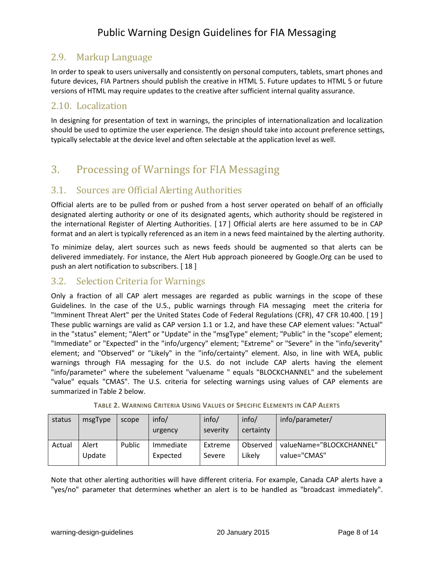#### <span id="page-7-0"></span>2.9. Markup Language

In order to speak to users universally and consistently on personal computers, tablets, smart phones and future devices, FIA Partners should publish the creative in HTML 5. Future updates to HTML 5 or future versions of HTML may require updates to the creative after sufficient internal quality assurance.

#### <span id="page-7-1"></span>2.10. Localization

In designing for presentation of text in warnings, the principles of internationalization and localization should be used to optimize the user experience. The design should take into account preference settings, typically selectable at the device level and often selectable at the application level as well.

# <span id="page-7-2"></span>3. Processing of Warnings for FIA Messaging

## <span id="page-7-3"></span>3.1. Sources are Official Alerting Authorities

Official alerts are to be pulled from or pushed from a host server operated on behalf of an officially designated alerting authority or one of its designated agents, which authority should be registered in the international Register of Alerting Authorities. [ 17 ] Official alerts are here assumed to be in CAP format and an alert is typically referenced as an item in a news feed maintained by the alerting authority.

To minimize delay, alert sources such as news feeds should be augmented so that alerts can be delivered immediately. For instance, the Alert Hub approach pioneered by Google.Org can be used to push an alert notification to subscribers. [ 18 ]

#### <span id="page-7-4"></span>3.2. Selection Criteria for Warnings

Only a fraction of all CAP alert messages are regarded as public warnings in the scope of these Guidelines. In the case of the U.S., public warnings through FIA messaging meet the criteria for "Imminent Threat Alert" per the United States Code of Federal Regulations (CFR), 47 CFR 10.400. [ 19 ] These public warnings are valid as CAP version 1.1 or 1.2, and have these CAP element values: "Actual" in the "status" element; "Alert" or "Update" in the "msgType" element; "Public" in the "scope" element; "Immediate" or "Expected" in the "info/urgency" element; "Extreme" or "Severe" in the "info/severity" element; and "Observed" or "Likely" in the "info/certainty" element. Also, in line with WEA, public warnings through FIA messaging for the U.S. do not include CAP alerts having the element "info/parameter" where the subelement "valuename " equals "BLOCKCHANNEL" and the subelement "value" equals "CMAS". The U.S. criteria for selecting warnings using values of CAP elements are summarized in Table 2 below.

| status | msgType         | scope  | info/<br>urgency      | info/<br>severity | info/<br>certainty | info/parameter/                          |
|--------|-----------------|--------|-----------------------|-------------------|--------------------|------------------------------------------|
| Actual | Alert<br>Update | Public | Immediate<br>Expected | Extreme<br>Severe | Observed<br>Likelv | valueName="BLOCKCHANNEL"<br>value="CMAS" |

|  | <b>TABLE 2. WARNING CRITERIA USING VALUES OF SPECIFIC ELEMENTS IN CAP ALERTS</b> |  |  |
|--|----------------------------------------------------------------------------------|--|--|
|--|----------------------------------------------------------------------------------|--|--|

Note that other alerting authorities will have different criteria. For example, Canada CAP alerts have a "yes/no" parameter that determines whether an alert is to be handled as "broadcast immediately".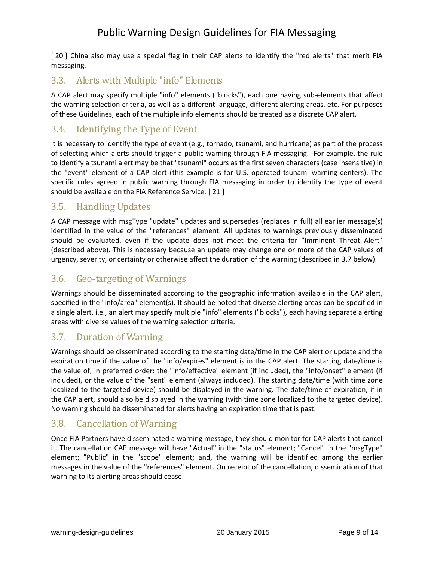[20] China also may use a special flag in their CAP alerts to identify the "red alerts" that merit FIA messaging.

#### <span id="page-8-0"></span>3.3. Alerts with Multiple "info" Elements

A CAP alert may specify multiple "info" elements ("blocks"), each one having sub-elements that affect the warning selection criteria, as well as a different language, different alerting areas, etc. For purposes of these Guidelines, each of the multiple info elements should be treated as a discrete CAP alert.

#### <span id="page-8-1"></span>3.4. Identifying the Type of Event

It is necessary to identify the type of event (e.g., tornado, tsunami, and hurricane) as part of the process of selecting which alerts should trigger a public warning through FIA messaging. For example, the rule to identify a tsunami alert may be that "tsunami" occurs as the first seven characters (case insensitive) in the "event" element of a CAP alert (this example is for U.S. operated tsunami warning centers). The specific rules agreed in public warning through FIA messaging in order to identify the type of event should be available on the FIA Reference Service. [ 21 ]

#### <span id="page-8-2"></span>3.5. Handling Updates

A CAP message with msgType "update" updates and supersedes (replaces in full) all earlier message(s) identified in the value of the "references" element. All updates to warnings previously disseminated should be evaluated, even if the update does not meet the criteria for "Imminent Threat Alert" (described above). This is necessary because an update may change one or more of the CAP values of urgency, severity, or certainty or otherwise affect the duration of the warning (described in [3.7](#page-8-4) below).

#### <span id="page-8-3"></span>3.6. Geo-targeting of Warnings

Warnings should be disseminated according to the geographic information available in the CAP alert, specified in the "info/area" element(s). It should be noted that diverse alerting areas can be specified in a single alert, i.e., an alert may specify multiple "info" elements ("blocks"), each having separate alerting areas with diverse values of the warning selection criteria.

#### <span id="page-8-4"></span>3.7. Duration of Warning

Warnings should be disseminated according to the starting date/time in the CAP alert or update and the expiration time if the value of the "info/expires" element is in the CAP alert. The starting date/time is the value of, in preferred order: the "info/effective" element (if included), the "info/onset" element (if included), or the value of the "sent" element (always included). The starting date/time (with time zone localized to the targeted device) should be displayed in the warning. The date/time of expiration, if in the CAP alert, should also be displayed in the warning (with time zone localized to the targeted device). No warning should be disseminated for alerts having an expiration time that is past.

#### <span id="page-8-5"></span>3.8. Cancellation of Warning

Once FIA Partners have disseminated a warning message, they should monitor for CAP alerts that cancel it. The cancellation CAP message will have "Actual" in the "status" element; "Cancel" in the "msgType" element; "Public" in the "scope" element; and, the warning will be identified among the earlier messages in the value of the "references" element. On receipt of the cancellation, dissemination of that warning to its alerting areas should cease.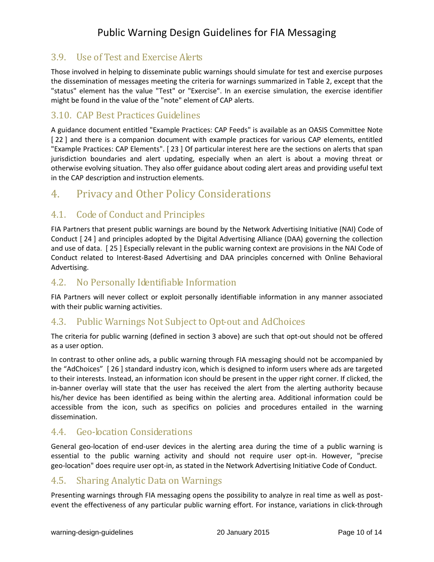#### <span id="page-9-0"></span>3.9. Use of Test and Exercise Alerts

Those involved in helping to disseminate public warnings should simulate for test and exercise purposes the dissemination of messages meeting the criteria for warnings summarized in Table 2, except that the "status" element has the value "Test" or "Exercise". In an exercise simulation, the exercise identifier might be found in the value of the "note" element of CAP alerts.

#### <span id="page-9-1"></span>3.10. CAP Best Practices Guidelines

A guidance document entitled "Example Practices: CAP Feeds" is available as an OASIS Committee Note [22] and there is a companion document with example practices for various CAP elements, entitled "Example Practices: CAP Elements". [ 23 ] Of particular interest here are the sections on alerts that span jurisdiction boundaries and alert updating, especially when an alert is about a moving threat or otherwise evolving situation. They also offer guidance about coding alert areas and providing useful text in the CAP description and instruction elements.

## <span id="page-9-2"></span>4. Privacy and Other Policy Considerations

#### <span id="page-9-3"></span>4.1. Code of Conduct and Principles

FIA Partners that present public warnings are bound by the Network Advertising Initiative (NAI) Code of Conduct [ 24 ] and principles adopted by the Digital Advertising Alliance (DAA) governing the collection and use of data. [ 25 ] Especially relevant in the public warning context are provisions in the NAI Code of Conduct related to Interest-Based Advertising and DAA principles concerned with Online Behavioral Advertising.

#### <span id="page-9-4"></span>4.2. No Personally Identifiable Information

FIA Partners will never collect or exploit personally identifiable information in any manner associated with their public warning activities.

#### <span id="page-9-5"></span>4.3. Public Warnings Not Subject to Opt-out and AdChoices

The criteria for public warning (defined in section 3 above) are such that opt-out should not be offered as a user option.

In contrast to other online ads, a public warning through FIA messaging should not be accompanied by the "AdChoices" [ 26 ] standard industry icon, which is designed to inform users where ads are targeted to their interests. Instead, an information icon should be present in the upper right corner. If clicked, the in-banner overlay will state that the user has received the alert from the alerting authority because his/her device has been identified as being within the alerting area. Additional information could be accessible from the icon, such as specifics on policies and procedures entailed in the warning dissemination.

#### <span id="page-9-6"></span>4.4. Geo-location Considerations

General geo-location of end-user devices in the alerting area during the time of a public warning is essential to the public warning activity and should not require user opt-in. However, "precise geo-location" does require user opt-in, as stated in the Network Advertising Initiative Code of Conduct.

#### <span id="page-9-7"></span>4.5. Sharing Analytic Data on Warnings

Presenting warnings through FIA messaging opens the possibility to analyze in real time as well as postevent the effectiveness of any particular public warning effort. For instance, variations in click-through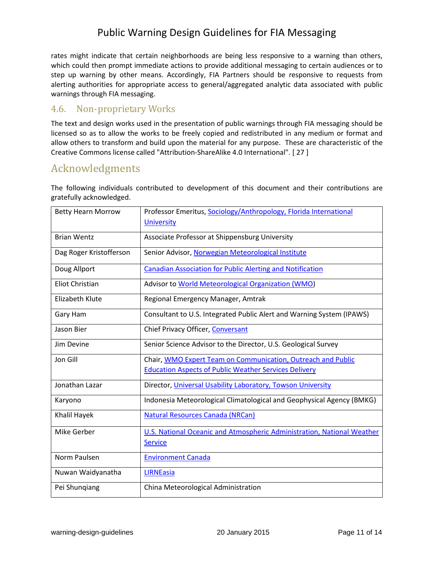rates might indicate that certain neighborhoods are being less responsive to a warning than others, which could then prompt immediate actions to provide additional messaging to certain audiences or to step up warning by other means. Accordingly, FIA Partners should be responsive to requests from alerting authorities for appropriate access to general/aggregated analytic data associated with public warnings through FIA messaging.

#### <span id="page-10-1"></span>4.6. Non-proprietary Works

The text and design works used in the presentation of public warnings through FIA messaging should be licensed so as to allow the works to be freely copied and redistributed in any medium or format and allow others to transform and build upon the material for any purpose. These are characteristic of the Creative Commons license called "Attribution-ShareAlike 4.0 International". [ 27 ]

## <span id="page-10-0"></span>Acknowledgments

The following individuals contributed to development of this document and their contributions are gratefully acknowledged.

| <b>Betty Hearn Morrow</b> | Professor Emeritus, Sociology/Anthropology, Florida International<br><b>University</b> |
|---------------------------|----------------------------------------------------------------------------------------|
| <b>Brian Wentz</b>        | Associate Professor at Shippensburg University                                         |
| Dag Roger Kristofferson   | Senior Advisor, Norwegian Meteorological Institute                                     |
| Doug Allport              | <b>Canadian Association for Public Alerting and Notification</b>                       |
| Eliot Christian           | Advisor to World Meteorological Organization (WMO)                                     |
| <b>Elizabeth Klute</b>    | Regional Emergency Manager, Amtrak                                                     |
| Gary Ham                  | Consultant to U.S. Integrated Public Alert and Warning System (IPAWS)                  |
| Jason Bier                | Chief Privacy Officer, Conversant                                                      |
| Jim Devine                | Senior Science Advisor to the Director, U.S. Geological Survey                         |
| Jon Gill                  | Chair, WMO Expert Team on Communication, Outreach and Public                           |
|                           | <b>Education Aspects of Public Weather Services Delivery</b>                           |
| Jonathan Lazar            | Director, Universal Usability Laboratory, Towson University                            |
| Karyono                   | Indonesia Meteorological Climatological and Geophysical Agency (BMKG)                  |
| Khalil Hayek              | Natural Resources Canada (NRCan)                                                       |
| Mike Gerber               | U.S. National Oceanic and Atmospheric Administration, National Weather                 |
|                           | <b>Service</b>                                                                         |
| Norm Paulsen              | <b>Environment Canada</b>                                                              |
| Nuwan Waidyanatha         | <b>LIRNEasia</b>                                                                       |
| Pei Shungiang             | China Meteorological Administration                                                    |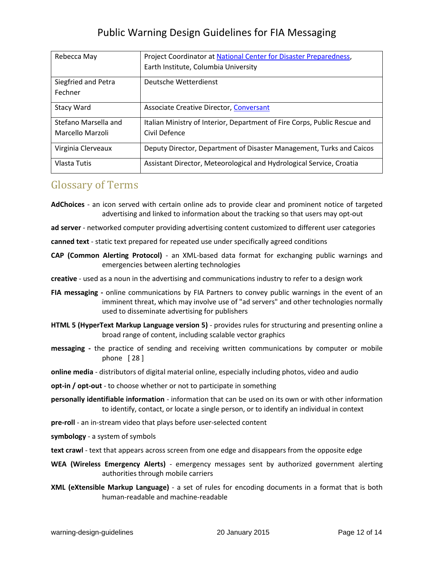| Rebecca May          | Project Coordinator at National Center for Disaster Preparedness,         |
|----------------------|---------------------------------------------------------------------------|
|                      | Earth Institute, Columbia University                                      |
| Siegfried and Petra  | Deutsche Wetterdienst                                                     |
| Fechner              |                                                                           |
| <b>Stacy Ward</b>    | <b>Associate Creative Director, Conversant</b>                            |
| Stefano Marsella and | Italian Ministry of Interior, Department of Fire Corps, Public Rescue and |
| Marcello Marzoli     | Civil Defence                                                             |
| Virginia Clerveaux   | Deputy Director, Department of Disaster Management, Turks and Caicos      |
| Vlasta Tutis         | Assistant Director, Meteorological and Hydrological Service, Croatia      |

## <span id="page-11-0"></span>Glossary of Terms

**AdChoices** - an icon served with certain online ads to provide clear and prominent notice of targeted advertising and linked to information about the tracking so that users may opt-out

**ad server** - networked computer providing advertising content customized to different user categories

**canned text** - static text prepared for repeated use under specifically agreed conditions

**CAP (Common Alerting Protocol)** - an XML-based data format for exchanging public warnings and emergencies between alerting technologies

**creative** - used as a noun in the advertising and communications industry to refer to a design work

- **FIA messaging -** online communications by FIA Partners to convey public warnings in the event of an imminent threat, which may involve use of "ad servers" and other technologies normally used to disseminate advertising for publishers
- **HTML 5 (HyperText Markup Language version 5)**  provides rules for structuring and presenting online a broad range of content, including scalable vector graphics
- **messaging -** the practice of sending and receiving written communications by computer or mobile phone [ 28 ]

**online media** - distributors of digital material online, especially including photos, video and audio

**opt-in / opt-out** - to choose whether or not to participate in something

- **personally identifiable information** information that can be used on its own or with other information to identify, contact, or locate a single person, or to identify an individual in context
- **pre-roll** an in-stream video that plays before user-selected content
- **symbology** a system of symbols
- **text crawl** text that appears across screen from one edge and disappears from the opposite edge
- **WEA (Wireless Emergency Alerts)** emergency messages sent by authorized government alerting authorities through mobile carriers
- **XML (eXtensible Markup Language)** a set of rules for encoding documents in a format that is both human-readable and machine-readable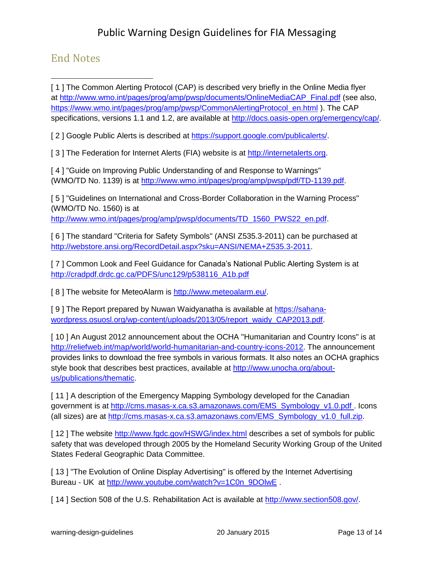## <span id="page-12-0"></span>End Notes

 $\overline{a}$ [1] The Common Alerting Protocol (CAP) is described very briefly in the Online Media flyer at [http://www.wmo.int/pages/prog/amp/pwsp/documents/OnlineMediaCAP\\_Final.pdf](http://www.wmo.int/pages/prog/amp/pwsp/documents/OnlineMediaCAP_Final.pdf) (see also, [https://www.wmo.int/pages/prog/amp/pwsp/CommonAlertingProtocol\\_en.html](https://www.wmo.int/pages/prog/amp/pwsp/CommonAlertingProtocol_en.html) ). The CAP specifications, versions 1.1 and 1.2, are available at [http://docs.oasis-open.org/emergency/cap/.](http://docs.oasis-open.org/emergency/cap/)

[ 2 ] Google Public Alerts is described at [https://support.google.com/publicalerts/.](https://support.google.com/publicalerts/)

[3] The [Federation for Internet Alerts \(FIA\)](http://internetalerts.org/) website is at [http://internetalerts.org.](http://internetalerts.org/)

[ 4 ] "Guide on Improving Public Understanding of and Response to Warnings" (WMO/TD No. 1139) is at [http://www.wmo.int/pages/prog/amp/pwsp/pdf/TD-1139.pdf.](http://www.wmo.int/pages/prog/amp/pwsp/pdf/TD-1139.pdf)

[ 5 ] "Guidelines on International and Cross-Border Collaboration in the Warning Process" (WMO/TD No. 1560) is at [http://www.wmo.int/pages/prog/amp/pwsp/documents/TD\\_1560\\_PWS22\\_en.pdf.](http://www.wmo.int/pages/prog/amp/pwsp/documents/TD_1560_PWS22_en.pdf)

[ 6 ] The standard "Criteria for Safety Symbols" (ANSI Z535.3-2011) can be purchased at [http://webstore.ansi.org/RecordDetail.aspx?sku=ANSI/NEMA+Z535.3-2011.](http://webstore.ansi.org/RecordDetail.aspx?sku=ANSI/NEMA+Z535.3-2011)

[ 7 ] Common Look and Feel Guidance for Canada's National Public Alerting System is at [http://cradpdf.drdc.gc.ca/PDFS/unc129/p538116\\_A1b.pdf](http://cradpdf.drdc.gc.ca/PDFS/unc129/p538116_A1b.pdf)

[ 8 ] The website for MeteoAlarm is [http://www.meteoalarm.eu/.](http://www.meteoalarm.eu/)

[ 9 ] The Report prepared by Nuwan Waidyanatha is available at [https://sahana](https://sahana-wordpress.osuosl.org/wp-content/uploads/2013/05/report_waidy_CAP2013.pdf)[wordpress.osuosl.org/wp-content/uploads/2013/05/report\\_waidy\\_CAP2013.pdf.](https://sahana-wordpress.osuosl.org/wp-content/uploads/2013/05/report_waidy_CAP2013.pdf)

[10] An August 2012 announcement about the OCHA "Humanitarian and Country Icons" is at [http://reliefweb.int/map/world/world-humanitarian-and-country-icons-2012.](http://reliefweb.int/map/world/world-humanitarian-and-country-icons-2012) The announcement provides links to download the free symbols in various formats. It also notes an OCHA graphics style book that describes best practices, available at [http://www.unocha.org/about](http://www.unocha.org/about-us/publications/thematic)[us/publications/thematic.](http://www.unocha.org/about-us/publications/thematic)

[11] A description of the Emergency Mapping Symbology developed for the Canadian government is at [http://cms.masas-x.ca.s3.amazonaws.com/EMS\\_Symbology\\_v1.0.pdf .](http://cms.masas-x.ca.s3.amazonaws.com/EMS_Symbology_v1.0.pdf) Icons (all sizes) are at [http://cms.masas-x.ca.s3.amazonaws.com/EMS\\_Symbology\\_v1.0\\_full.zip.](http://cms.masas-x.ca.s3.amazonaws.com/EMS_Symbology_v1.0_full.zip)

[12] The website<http://www.fgdc.gov/HSWG/index.html> describes a set of symbols for public safety that was developed through 2005 by the Homeland Security Working Group of the United States Federal Geographic Data Committee.

[13] "The Evolution of Online Display Advertising" is offered by the Internet Advertising Bureau - UK at [http://www.youtube.com/watch?v=1C0n\\_9DOlwE](http://www.youtube.com/watch?v=1C0n_9DOlwE) .

[ 14 ] Section 508 of the U.S. Rehabilitation Act is available at [http://www.section508.gov/.](http://www.section508.gov/)